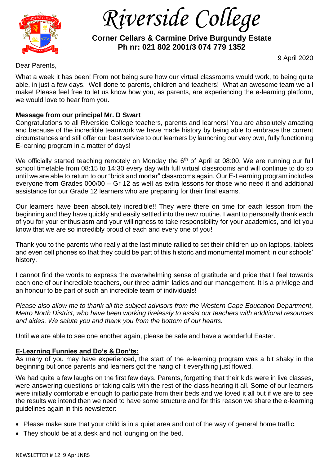

 *Riverside College*

# **Corner Cellars & Carmine Drive Burgundy Estate Ph nr: 021 802 2001/3 074 779 1352**

9 April 2020

Dear Parents,

What a week it has been! From not being sure how our virtual classrooms would work, to being quite able, in just a few days. Well done to parents, children and teachers! What an awesome team we all make! Please feel free to let us know how you, as parents, are experiencing the e-learning platform, we would love to hear from you.

# **Message from our principal Mr. D Swart**

Congratulations to all Riverside College teachers, parents and learners! You are absolutely amazing and because of the incredible teamwork we have made history by being able to embrace the current circumstances and still offer our best service to our learners by launching our very own, fully functioning E-learning program in a matter of days!

We officially started teaching remotely on Monday the 6<sup>th</sup> of April at 08:00. We are running our full school timetable from 08:15 to 14:30 every day with full virtual classrooms and will continue to do so until we are able to return to our "brick and mortar" classrooms again. Our E-Learning program includes everyone from Grades 000/00 – Gr 12 as well as extra lessons for those who need it and additional assistance for our Grade 12 learners who are preparing for their final exams.

Our learners have been absolutely incredible!! They were there on time for each lesson from the beginning and they have quickly and easily settled into the new routine. I want to personally thank each of you for your enthusiasm and your willingness to take responsibility for your academics, and let you know that we are so incredibly proud of each and every one of you!

Thank you to the parents who really at the last minute rallied to set their children up on laptops, tablets and even cell phones so that they could be part of this historic and monumental moment in our schools' history.

I cannot find the words to express the overwhelming sense of gratitude and pride that I feel towards each one of our incredible teachers, our three admin ladies and our management. It is a privilege and an honour to be part of such an incredible team of individuals!

*Please also allow me to thank all the subject advisors from the Western Cape Education Department, Metro North District, who have been working tirelessly to assist our teachers with additional resources and aides. We salute you and thank you from the bottom of our hearts.* 

Until we are able to see one another again, please be safe and have a wonderful Easter.

# **E-Learning Funnies and Do's & Don'ts:**

As many of you may have experienced, the start of the e-learning program was a bit shaky in the beginning but once parents and learners got the hang of it everything just flowed.

We had quite a few laughs on the first few days. Parents, forgetting that their kids were in live classes, were answering questions or taking calls with the rest of the class hearing it all. Some of our learners were initially comfortable enough to participate from their beds and we loved it all but if we are to see the results we intend then we need to have some structure and for this reason we share the e-learning guidelines again in this newsletter:

- Please make sure that your child is in a quiet area and out of the way of general home traffic.
- They should be at a desk and not lounging on the bed.